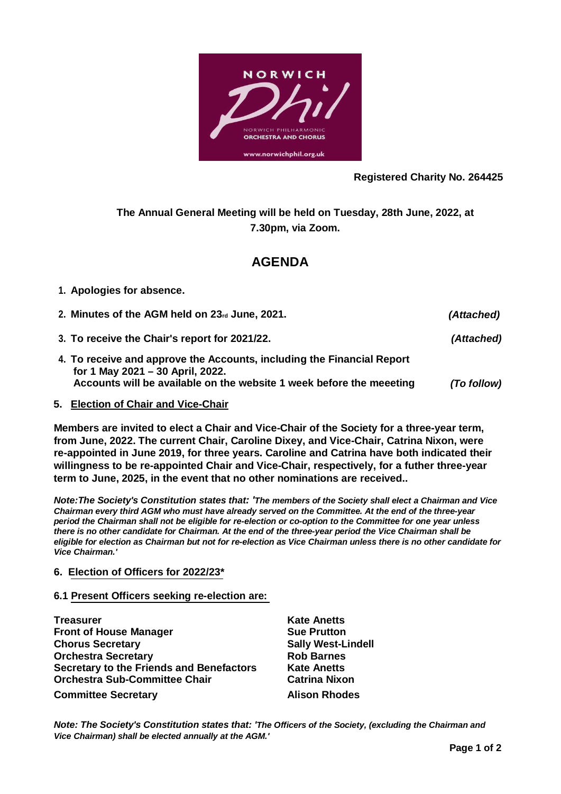

## **Registered Charity No. 264425**

**The Annual General Meeting will be held on Tuesday, 28th June, 2022, at 7.30pm, via Zoom.**

# **AGENDA**

## **1. Apologies for absence.**

- **2. Minutes of the AGM held on 23rd June, 2021.** *(Attached)*
- **3. To receive the Chair's report for 2021/22.** *(Attached)*
- **4. To receive and approve the Accounts, including the Financial Report for 1 May 2021 – 30 April, 2022. Accounts will be available on the website 1 week before the meeeting** *(To follow)*

## **5. Election of Chair and Vice-Chair**

**Members are invited to elect a Chair and Vice-Chair of the Society for a three-year term, from June, 2022. The current Chair, Caroline Dixey, and Vice-Chair, Catrina Nixon, were re-appointed in June 2019, for three years. Caroline and Catrina have both indicated their willingness to be re-appointed Chair and Vice-Chair, respectively, for a futher three-year term to June, 2025, in the event that no other nominations are received..**

*Note:The Society's Constitution states that: 'The members of the Society shall elect a Chairman and Vice Chairman every third AGM who must have already served on the Committee. At the end of the three-year period the Chairman shall not be eligible for re-election or co-option to the Committee for one year unless there is no other candidate for Chairman. At the end of the three-year period the Vice Chairman shall be eligible for election as Chairman but not for re-election as Vice Chairman unless there is no other candidate for Vice Chairman.'*

## **6. Election of Officers for 2022/23\***

### **6.1 Present Officers seeking re-election are:**

| <b>Treasurer</b>                                | <b>Kate Anetts</b>     |
|-------------------------------------------------|------------------------|
| <b>Front of House Manager</b>                   | <b>Sue Prutton</b>     |
| <b>Chorus Secretary</b>                         | <b>Sally West-Lind</b> |
| <b>Orchestra Secretary</b>                      | <b>Rob Barnes</b>      |
| <b>Secretary to the Friends and Benefactors</b> | <b>Kate Anetts</b>     |
| <b>Orchestra Sub-Committee Chair</b>            | <b>Catrina Nixon</b>   |
| <b>Committee Secretary</b>                      | <b>Alison Rhodes</b>   |

**Chorus Secretary Sally West-Lindell Orchestra Sub-Committee Chair Catrina Nixon**

*Note: The Society's Constitution states that: 'The Officers of the Society, (excluding the Chairman and Vice Chairman) shall be elected annually at the AGM.'*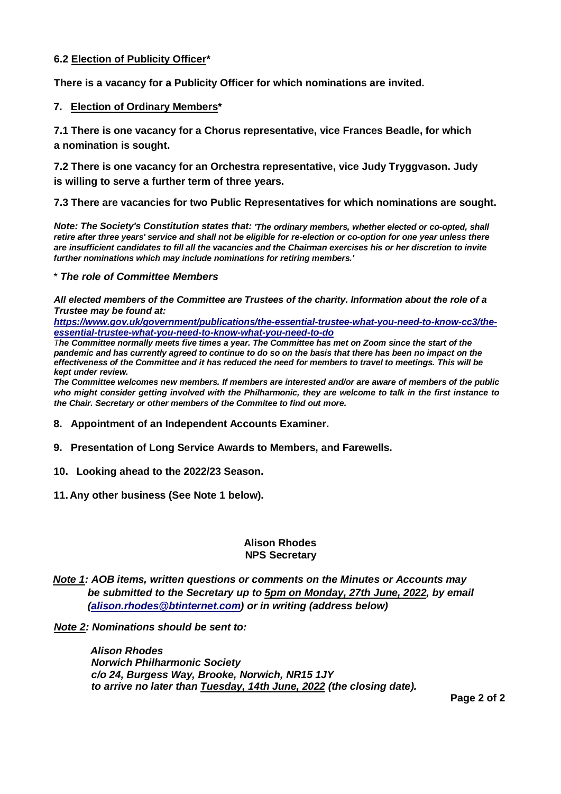## **6.2 Election of Publicity Officer\***

**There is a vacancy for a Publicity Officer for which nominations are invited.**

## **7. Election of Ordinary Members\***

**7.1 There is one vacancy for a Chorus representative, vice Frances Beadle, for which a nomination is sought.**

**7.2 There is one vacancy for an Orchestra representative, vice Judy Tryggvason. Judy is willing to serve a further term of three years.**

**7.3 There are vacancies for two Public Representatives for which nominations are sought.**

*Note: The Society's Constitution states that: 'The ordinary members, whether elected or co-opted, shall retire after three years' service and shall not be eligible for re-election or co-option for one year unless there are insufficient candidates to fill all the vacancies and the Chairman exercises his or her discretion to invite further nominations which may include nominations for retiring members.'*

#### \* *The role of Committee Members*

*All elected members of the Committee are Trustees of the charity. Information about the role of a Trustee may be found at:*

*[https://www.gov.uk/government/publications/the-essential-trustee-what-you-need-to-know-cc3/the](https://www.gov.uk/government/publications/the-essential-trustee-what-you-need-to-know-cc3/the-essential-trustee-what-you-need-to-know-what-you-need-to-do)[essential-trustee-what-you-need-to-know-what-you-need-to-do](https://www.gov.uk/government/publications/the-essential-trustee-what-you-need-to-know-cc3/the-essential-trustee-what-you-need-to-know-what-you-need-to-do)*

*The Committee normally meets five times a year. The Committee has met on Zoom since the start of the pandemic and has currently agreed to continue to do so on the basis that there has been no impact on the effectiveness of the Committee and it has reduced the need for members to travel to meetings. This will be kept under review.*

*The Committee welcomes new members. If members are interested and/or are aware of members of the public who might consider getting involved with the Philharmonic, they are welcome to talk in the first instance to the Chair. Secretary or other members of the Commitee to find out more.*

- **8. Appointment of an Independent Accounts Examiner.**
- **9. Presentation of Long Service Awards to Members, and Farewells.**
- **10. Looking ahead to the 2022/23 Season.**
- **11. Any other business (See Note 1 below).**

### **Alison Rhodes NPS Secretary**

*Note 1: AOB items, written questions or comments on the Minutes or Accounts may be submitted to the Secretary up to 5pm on Monday, 27th June, 2022, by email [\(alison.rhodes@btinternet.com\)](mailto:alison.rhodes@btinternet.com) or in writing (address below)*

*Note 2: Nominations should be sent to:*

*Alison Rhodes Norwich Philharmonic Society c/o 24, Burgess Way, Brooke, Norwich, NR15 1JY to arrive no later than Tuesday, 14th June, 2022 (the closing date).*

**Page 2 of 2**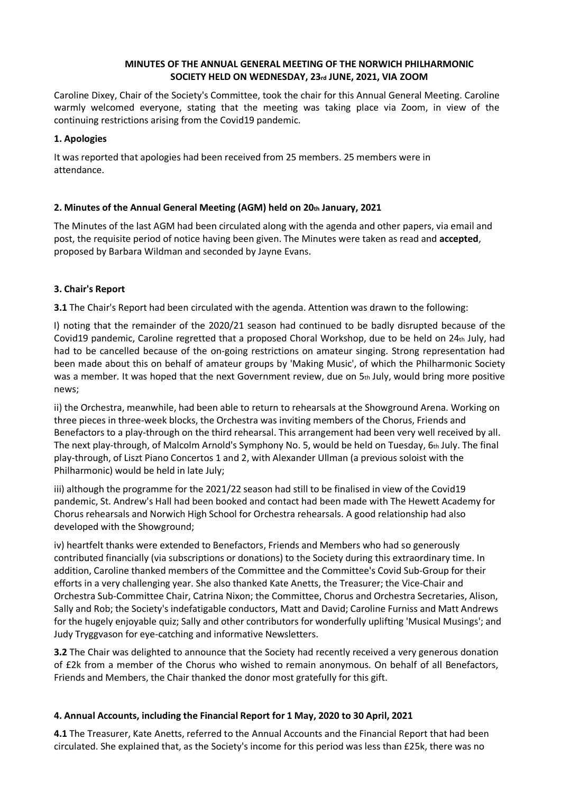### **MINUTES OF THE ANNUAL GENERAL MEETING OF THE NORWICH PHILHARMONIC SOCIETY HELD ON WEDNESDAY, 23rd JUNE, 2021, VIA ZOOM**

Caroline Dixey, Chair of the Society's Committee, took the chair for this Annual General Meeting. Caroline warmly welcomed everyone, stating that the meeting was taking place via Zoom, in view of the continuing restrictions arising from the Covid19 pandemic.

## **1. Apologies**

It was reported that apologies had been received from 25 members. 25 members were in attendance.

## **2. Minutes of the Annual General Meeting (AGM) held on 20th January, 2021**

The Minutes of the last AGM had been circulated along with the agenda and other papers, via email and post, the requisite period of notice having been given. The Minutes were taken as read and **accepted**, proposed by Barbara Wildman and seconded by Jayne Evans.

## **3. Chair's Report**

**3.1** The Chair's Report had been circulated with the agenda. Attention was drawn to the following:

I) noting that the remainder of the 2020/21 season had continued to be badly disrupted because of the Covid19 pandemic, Caroline regretted that a proposed Choral Workshop, due to be held on 24th July, had had to be cancelled because of the on-going restrictions on amateur singing. Strong representation had been made about this on behalf of amateur groups by 'Making Music', of which the Philharmonic Society was a member. It was hoped that the next Government review, due on 5th July, would bring more positive news;

ii) the Orchestra, meanwhile, had been able to return to rehearsals at the Showground Arena. Working on three pieces in three-week blocks, the Orchestra was inviting members of the Chorus, Friends and Benefactors to a play-through on the third rehearsal. This arrangement had been very well received by all. The next play-through, of Malcolm Arnold's Symphony No. 5, would be held on Tuesday, 6th July. The final play-through, of Liszt Piano Concertos 1 and 2, with Alexander Ullman (a previous soloist with the Philharmonic) would be held in late July;

iii) although the programme for the 2021/22 season had still to be finalised in view of the Covid19 pandemic, St. Andrew's Hall had been booked and contact had been made with The Hewett Academy for Chorus rehearsals and Norwich High School for Orchestra rehearsals. A good relationship had also developed with the Showground;

iv) heartfelt thanks were extended to Benefactors, Friends and Members who had so generously contributed financially (via subscriptions or donations) to the Society during this extraordinary time. In addition, Caroline thanked members of the Committee and the Committee's Covid Sub-Group for their efforts in a very challenging year. She also thanked Kate Anetts, the Treasurer; the Vice-Chair and Orchestra Sub-Committee Chair, Catrina Nixon; the Committee, Chorus and Orchestra Secretaries, Alison, Sally and Rob; the Society's indefatigable conductors, Matt and David; Caroline Furniss and Matt Andrews for the hugely enjoyable quiz; Sally and other contributors for wonderfully uplifting 'Musical Musings'; and Judy Tryggvason for eye-catching and informative Newsletters.

**3.2** The Chair was delighted to announce that the Society had recently received a very generous donation of £2k from a member of the Chorus who wished to remain anonymous. On behalf of all Benefactors, Friends and Members, the Chair thanked the donor most gratefully for this gift.

## **4. Annual Accounts, including the Financial Report for 1 May, 2020 to 30 April, 2021**

**4.1** The Treasurer, Kate Anetts, referred to the Annual Accounts and the Financial Report that had been circulated. She explained that, as the Society's income for this period was less than £25k, there was no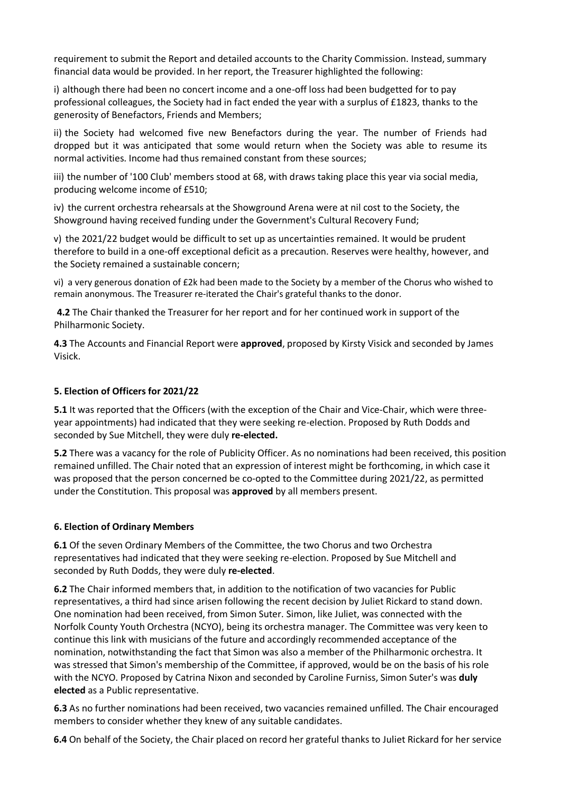requirement to submit the Report and detailed accounts to the Charity Commission. Instead, summary financial data would be provided. In her report, the Treasurer highlighted the following:

i) although there had been no concert income and a one-off loss had been budgetted for to pay professional colleagues, the Society had in fact ended the year with a surplus of £1823, thanks to the generosity of Benefactors, Friends and Members;

ii) the Society had welcomed five new Benefactors during the year. The number of Friends had dropped but it was anticipated that some would return when the Society was able to resume its normal activities. Income had thus remained constant from these sources;

iii) the number of '100 Club' members stood at 68, with draws taking place this year via social media, producing welcome income of £510;

iv) the current orchestra rehearsals at the Showground Arena were at nil cost to the Society, the Showground having received funding under the Government's Cultural Recovery Fund;

v) the 2021/22 budget would be difficult to set up as uncertainties remained. It would be prudent therefore to build in a one-off exceptional deficit as a precaution. Reserves were healthy, however, and the Society remained a sustainable concern;

vi) a very generous donation of £2k had been made to the Society by a member of the Chorus who wished to remain anonymous. The Treasurer re-iterated the Chair's grateful thanks to the donor.

**4.2** The Chair thanked the Treasurer for her report and for her continued work in support of the Philharmonic Society.

**4.3** The Accounts and Financial Report were **approved**, proposed by Kirsty Visick and seconded by James Visick.

### **5. Election of Officers for 2021/22**

**5.1** It was reported that the Officers (with the exception of the Chair and Vice-Chair, which were threeyear appointments) had indicated that they were seeking re-election. Proposed by Ruth Dodds and seconded by Sue Mitchell, they were duly **re-elected.**

**5.2** There was a vacancy for the role of Publicity Officer. As no nominations had been received, this position remained unfilled. The Chair noted that an expression of interest might be forthcoming, in which case it was proposed that the person concerned be co-opted to the Committee during 2021/22, as permitted under the Constitution. This proposal was **approved** by all members present.

### **6. Election of Ordinary Members**

**6.1** Of the seven Ordinary Members of the Committee, the two Chorus and two Orchestra representatives had indicated that they were seeking re-election. Proposed by Sue Mitchell and seconded by Ruth Dodds, they were duly **re-elected**.

**6.2** The Chair informed members that, in addition to the notification of two vacancies for Public representatives, a third had since arisen following the recent decision by Juliet Rickard to stand down. One nomination had been received, from Simon Suter. Simon, like Juliet, was connected with the Norfolk County Youth Orchestra (NCYO), being its orchestra manager. The Committee was very keen to continue this link with musicians of the future and accordingly recommended acceptance of the nomination, notwithstanding the fact that Simon was also a member of the Philharmonic orchestra. It was stressed that Simon's membership of the Committee, if approved, would be on the basis of his role with the NCYO. Proposed by Catrina Nixon and seconded by Caroline Furniss, Simon Suter's was **duly elected** as a Public representative.

**6.3** As no further nominations had been received, two vacancies remained unfilled. The Chair encouraged members to consider whether they knew of any suitable candidates.

**6.4** On behalf of the Society, the Chair placed on record her grateful thanks to Juliet Rickard for her service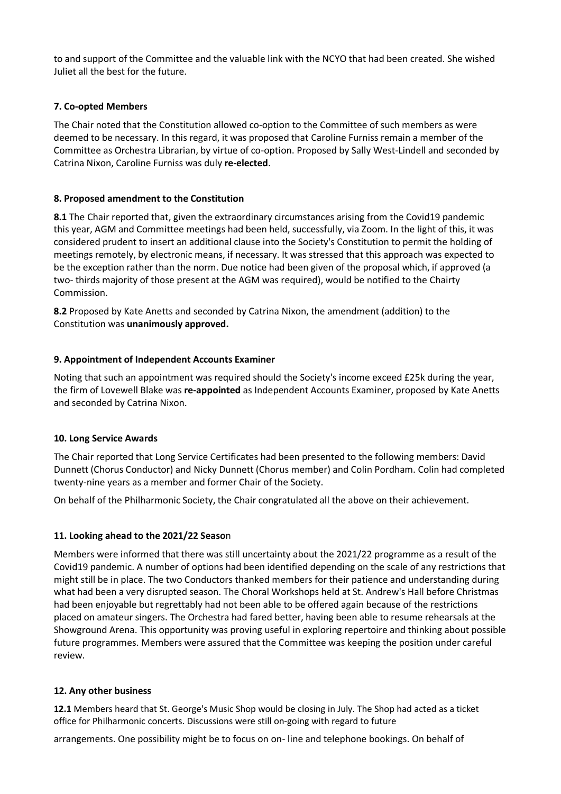to and support of the Committee and the valuable link with the NCYO that had been created. She wished Juliet all the best for the future.

## **7. Co-opted Members**

The Chair noted that the Constitution allowed co-option to the Committee of such members as were deemed to be necessary. In this regard, it was proposed that Caroline Furniss remain a member of the Committee as Orchestra Librarian, by virtue of co-option. Proposed by Sally West-Lindell and seconded by Catrina Nixon, Caroline Furniss was duly **re-elected**.

### **8. Proposed amendment to the Constitution**

**8.1** The Chair reported that, given the extraordinary circumstances arising from the Covid19 pandemic this year, AGM and Committee meetings had been held, successfully, via Zoom. In the light of this, it was considered prudent to insert an additional clause into the Society's Constitution to permit the holding of meetings remotely, by electronic means, if necessary. It was stressed that this approach was expected to be the exception rather than the norm. Due notice had been given of the proposal which, if approved (a two- thirds majority of those present at the AGM was required), would be notified to the Chairty Commission.

**8.2** Proposed by Kate Anetts and seconded by Catrina Nixon, the amendment (addition) to the Constitution was **unanimously approved.**

## **9. Appointment of Independent Accounts Examiner**

Noting that such an appointment was required should the Society's income exceed £25k during the year, the firm of Lovewell Blake was **re-appointed** as Independent Accounts Examiner, proposed by Kate Anetts and seconded by Catrina Nixon.

### **10. Long Service Awards**

The Chair reported that Long Service Certificates had been presented to the following members: David Dunnett (Chorus Conductor) and Nicky Dunnett (Chorus member) and Colin Pordham. Colin had completed twenty-nine years as a member and former Chair of the Society.

On behalf of the Philharmonic Society, the Chair congratulated all the above on their achievement.

## **11. Looking ahead to the 2021/22 Seaso**n

Members were informed that there was still uncertainty about the 2021/22 programme as a result of the Covid19 pandemic. A number of options had been identified depending on the scale of any restrictions that might still be in place. The two Conductors thanked members for their patience and understanding during what had been a very disrupted season. The Choral Workshops held at St. Andrew's Hall before Christmas had been enjoyable but regrettably had not been able to be offered again because of the restrictions placed on amateur singers. The Orchestra had fared better, having been able to resume rehearsals at the Showground Arena. This opportunity was proving useful in exploring repertoire and thinking about possible future programmes. Members were assured that the Committee was keeping the position under careful review.

### **12. Any other business**

**12.1** Members heard that St. George's Music Shop would be closing in July. The Shop had acted as a ticket office for Philharmonic concerts. Discussions were still on-going with regard to future

arrangements. One possibility might be to focus on on- line and telephone bookings. On behalf of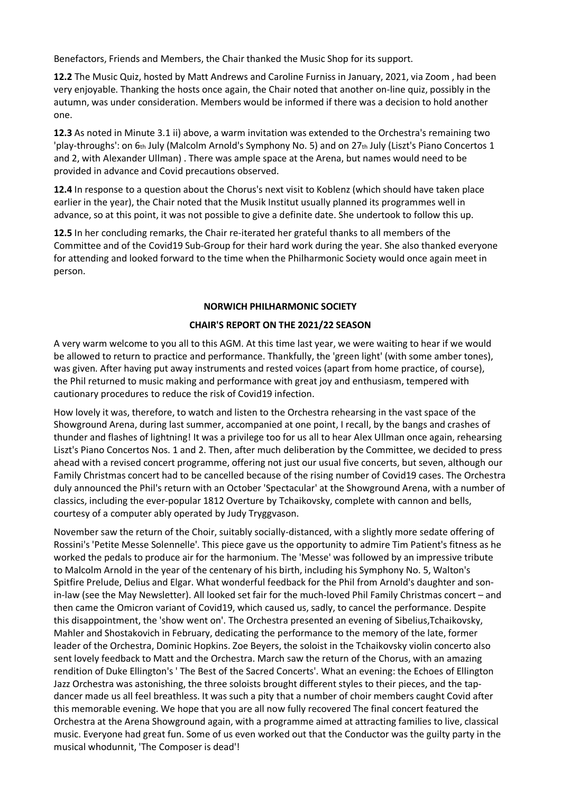Benefactors, Friends and Members, the Chair thanked the Music Shop for its support.

**12.2** The Music Quiz, hosted by Matt Andrews and Caroline Furniss in January, 2021, via Zoom , had been very enjoyable. Thanking the hosts once again, the Chair noted that another on-line quiz, possibly in the autumn, was under consideration. Members would be informed if there was a decision to hold another one.

**12.3** As noted in Minute 3.1 ii) above, a warm invitation was extended to the Orchestra's remaining two 'play-throughs': on 6th July (Malcolm Arnold's Symphony No. 5) and on 27th July (Liszt's Piano Concertos 1 and 2, with Alexander Ullman) . There was ample space at the Arena, but names would need to be provided in advance and Covid precautions observed.

**12.4** In response to a question about the Chorus's next visit to Koblenz (which should have taken place earlier in the year), the Chair noted that the Musik Institut usually planned its programmes well in advance, so at this point, it was not possible to give a definite date. She undertook to follow this up.

**12.5** In her concluding remarks, the Chair re-iterated her grateful thanks to all members of the Committee and of the Covid19 Sub-Group for their hard work during the year. She also thanked everyone for attending and looked forward to the time when the Philharmonic Society would once again meet in person.

### **NORWICH PHILHARMONIC SOCIETY**

## **CHAIR'S REPORT ON THE 2021/22 SEASON**

A very warm welcome to you all to this AGM. At this time last year, we were waiting to hear if we would be allowed to return to practice and performance. Thankfully, the 'green light' (with some amber tones), was given. After having put away instruments and rested voices (apart from home practice, of course), the Phil returned to music making and performance with great joy and enthusiasm, tempered with cautionary procedures to reduce the risk of Covid19 infection.

How lovely it was, therefore, to watch and listen to the Orchestra rehearsing in the vast space of the Showground Arena, during last summer, accompanied at one point, I recall, by the bangs and crashes of thunder and flashes of lightning! It was a privilege too for us all to hear Alex Ullman once again, rehearsing Liszt's Piano Concertos Nos. 1 and 2. Then, after much deliberation by the Committee, we decided to press ahead with a revised concert programme, offering not just our usual five concerts, but seven, although our Family Christmas concert had to be cancelled because of the rising number of Covid19 cases. The Orchestra duly announced the Phil's return with an October 'Spectacular' at the Showground Arena, with a number of classics, including the ever-popular 1812 Overture by Tchaikovsky, complete with cannon and bells, courtesy of a computer ably operated by Judy Tryggvason.

November saw the return of the Choir, suitably socially-distanced, with a slightly more sedate offering of Rossini's 'Petite Messe Solennelle'. This piece gave us the opportunity to admire Tim Patient's fitness as he worked the pedals to produce air for the harmonium. The 'Messe' was followed by an impressive tribute to Malcolm Arnold in the year of the centenary of his birth, including his Symphony No. 5, Walton's Spitfire Prelude, Delius and Elgar. What wonderful feedback for the Phil from Arnold's daughter and sonin-law (see the May Newsletter). All looked set fair for the much-loved Phil Family Christmas concert – and then came the Omicron variant of Covid19, which caused us, sadly, to cancel the performance. Despite this disappointment, the 'show went on'. The Orchestra presented an evening of Sibelius,Tchaikovsky, Mahler and Shostakovich in February, dedicating the performance to the memory of the late, former leader of the Orchestra, Dominic Hopkins. Zoe Beyers, the soloist in the Tchaikovsky violin concerto also sent lovely feedback to Matt and the Orchestra. March saw the return of the Chorus, with an amazing rendition of Duke Ellington's ' The Best of the Sacred Concerts'. What an evening: the Echoes of Ellington Jazz Orchestra was astonishing, the three soloists brought different styles to their pieces, and the tapdancer made us all feel breathless. It was such a pity that a number of choir members caught Covid after this memorable evening. We hope that you are all now fully recovered The final concert featured the Orchestra at the Arena Showground again, with a programme aimed at attracting families to live, classical music. Everyone had great fun. Some of us even worked out that the Conductor was the guilty party in the musical whodunnit, 'The Composer is dead'!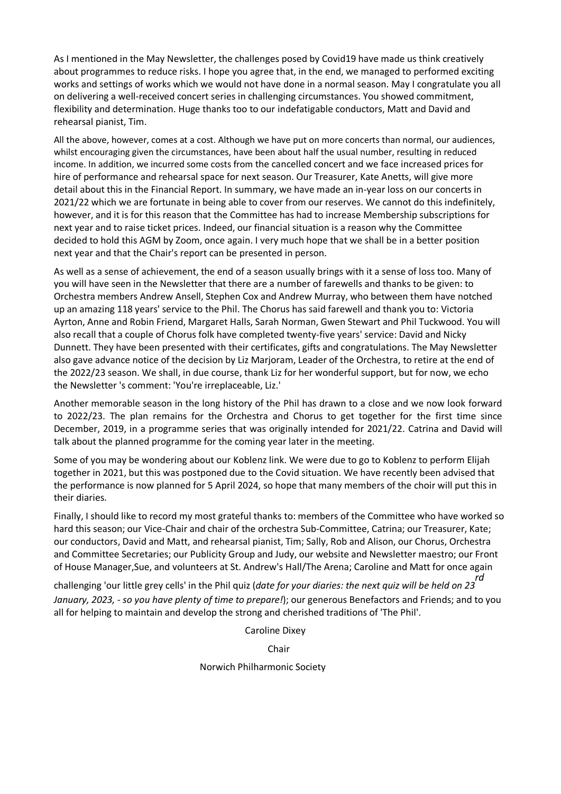As I mentioned in the May Newsletter, the challenges posed by Covid19 have made us think creatively about programmes to reduce risks. I hope you agree that, in the end, we managed to performed exciting works and settings of works which we would not have done in a normal season. May I congratulate you all on delivering a well-received concert series in challenging circumstances. You showed commitment, flexibility and determination. Huge thanks too to our indefatigable conductors, Matt and David and rehearsal pianist, Tim.

All the above, however, comes at a cost. Although we have put on more concerts than normal, our audiences, whilst encouraging given the circumstances, have been about half the usual number, resulting in reduced income. In addition, we incurred some costs from the cancelled concert and we face increased prices for hire of performance and rehearsal space for next season. Our Treasurer, Kate Anetts, will give more detail about this in the Financial Report. In summary, we have made an in-year loss on our concerts in 2021/22 which we are fortunate in being able to cover from our reserves. We cannot do this indefinitely, however, and it is for this reason that the Committee has had to increase Membership subscriptions for next year and to raise ticket prices. Indeed, our financial situation is a reason why the Committee decided to hold this AGM by Zoom, once again. I very much hope that we shall be in a better position next year and that the Chair's report can be presented in person.

As well as a sense of achievement, the end of a season usually brings with it a sense of loss too. Many of you will have seen in the Newsletter that there are a number of farewells and thanks to be given: to Orchestra members Andrew Ansell, Stephen Cox and Andrew Murray, who between them have notched up an amazing 118 years' service to the Phil. The Chorus has said farewell and thank you to: Victoria Ayrton, Anne and Robin Friend, Margaret Halls, Sarah Norman, Gwen Stewart and Phil Tuckwood. You will also recall that a couple of Chorus folk have completed twenty-five years' service: David and Nicky Dunnett. They have been presented with their certificates, gifts and congratulations. The May Newsletter also gave advance notice of the decision by Liz Marjoram, Leader of the Orchestra, to retire at the end of the 2022/23 season. We shall, in due course, thank Liz for her wonderful support, but for now, we echo the Newsletter 's comment: 'You're irreplaceable, Liz.'

Another memorable season in the long history of the Phil has drawn to a close and we now look forward to 2022/23. The plan remains for the Orchestra and Chorus to get together for the first time since December, 2019, in a programme series that was originally intended for 2021/22. Catrina and David will talk about the planned programme for the coming year later in the meeting.

Some of you may be wondering about our Koblenz link. We were due to go to Koblenz to perform Elijah together in 2021, but this was postponed due to the Covid situation. We have recently been advised that the performance is now planned for 5 April 2024, so hope that many members of the choir will put this in their diaries.

Finally, I should like to record my most grateful thanks to: members of the Committee who have worked so hard this season; our Vice-Chair and chair of the orchestra Sub-Committee, Catrina; our Treasurer, Kate; our conductors, David and Matt, and rehearsal pianist, Tim; Sally, Rob and Alison, our Chorus, Orchestra and Committee Secretaries; our Publicity Group and Judy, our website and Newsletter maestro; our Front of House Manager,Sue, and volunteers at St. Andrew's Hall/The Arena; Caroline and Matt for once again

challenging 'our little grey cells' in the Phil quiz (*date for your diaries: the next quiz will be held on 23 rd January, 2023, - so you have plenty of time to prepare!*); our generous Benefactors and Friends; and to you all for helping to maintain and develop the strong and cherished traditions of 'The Phil'.

Caroline Dixey

Chair

Norwich Philharmonic Society